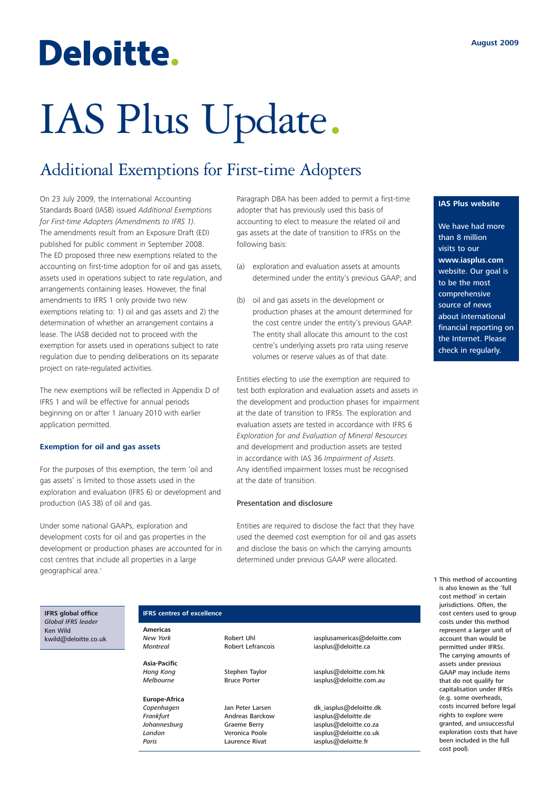## Deloitte.

# IAS Plus Update.

### Additional Exemptions for First-time Adopters

On 23 July 2009, the International Accounting Standards Board (IASB) issued *Additional Exemptions for First-time Adopters (Amendments to IFRS 1)*. The amendments result from an Exposure Draft (ED) published for public comment in September 2008. The ED proposed three new exemptions related to the accounting on first-time adoption for oil and gas assets, assets used in operations subject to rate regulation, and arrangements containing leases. However, the final amendments to IFRS 1 only provide two new exemptions relating to: 1) oil and gas assets and 2) the determination of whether an arrangement contains a lease. The IASB decided not to proceed with the exemption for assets used in operations subject to rate regulation due to pending deliberations on its separate project on rate-regulated activities.

The new exemptions will be reflected in Appendix D of IFRS 1 and will be effective for annual periods beginning on or after 1 January 2010 with earlier application permitted.

#### **Exemption for oil and gas assets**

For the purposes of this exemption, the term 'oil and gas assets' is limited to those assets used in the exploration and evaluation (IFRS 6) or development and production (IAS 38) of oil and gas.

Under some national GAAPs, exploration and development costs for oil and gas properties in the development or production phases are accounted for in cost centres that include all properties in a large geographical area.<sup>1</sup>

Paragraph D8A has been added to permit a first-time adopter that has previously used this basis of accounting to elect to measure the related oil and gas assets at the date of transition to IFRSs on the following basis:

- (a) exploration and evaluation assets at amounts determined under the entity's previous GAAP; and
- (b) oil and gas assets in the development or production phases at the amount determined for the cost centre under the entity's previous GAAP. The entity shall allocate this amount to the cost centre's underlying assets pro rata using reserve volumes or reserve values as of that date.

Entities electing to use the exemption are required to test both exploration and evaluation assets and assets in the development and production phases for impairment at the date of transition to IFRSs. The exploration and evaluation assets are tested in accordance with IFRS 6 *Exploration for and Evaluation of Mineral Resources* and development and production assets are tested in accordance with IAS 36 *Impairment of Assets*. Any identified impairment losses must be recognised at the date of transition.

#### Presentation and disclosure

Entities are required to disclose the fact that they have used the deemed cost exemption for oil and gas assets and disclose the basis on which the carrying amounts determined under previous GAAP were allocated.

**IFRS global office** *Global IFRS leader* Ken Wild kwild@deloitte.co.uk

#### **IFRS centres of excellence**

**Americas**

**Asia-Pacific**

**Europe-Africa**

Paris **Paris** Laurence Rivat iasplus@deloitte.fr

**New York Robert Uhl** iasplusamericas@deloitte.com<br>
Montreal **Robert Lefrancois** iasplus@deloitte.ca iasplus@deloitte.ca

*Hong Kong* Stephen Taylor iasplus@deloitte.com.hk *Melbourne* Bruce Porter iasplus@deloitte.com.au

Jan Peter Larsen dk iasplus@deloitte.dk **Frankfurt Andreas Barckow** iasplus@deloitte.de in the Andreas Barckow iasplus@deloitte.de *Johannesburg* Graeme Berry iasplus@deloitte.co.za Veronica Poole iasplus@deloitte.co.uk<br>Laurence Rivat iasplus@deloitte.fr

#### **IAS Plus website**

We have had more than 8 million visits to our **www.iasplus.com** website. Our goal is to be the most comprehensive source of news about international financial reporting on the Internet. Please check in regularly.

1 This method of accounting is also known as the 'full cost method' in certain jurisdictions. Often, the cost centers used to group costs under this method represent a larger unit of account than would be permitted under IFRSs. The carrying amounts of assets under previous GAAP may include items that do not qualify for capitalisation under IFRSs (e.g. some overheads, costs incurred before legal rights to explore were granted, and unsuccessful exploration costs that have been included in the full cost pool).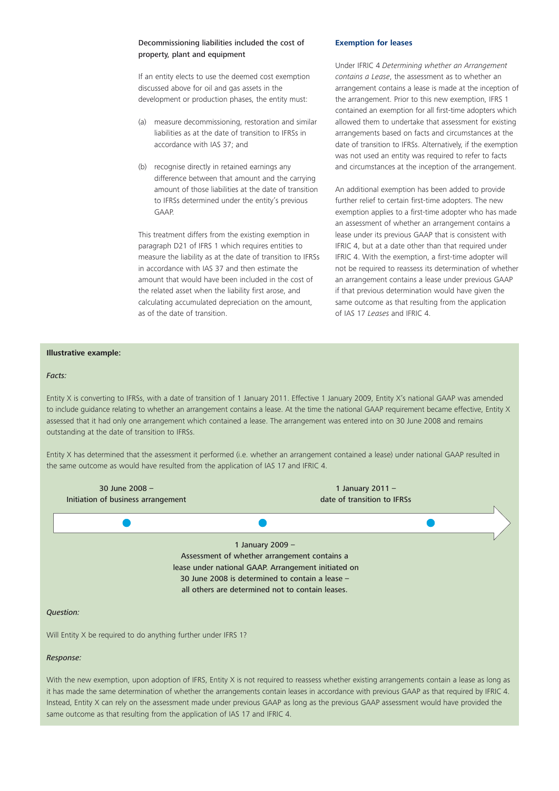#### Decommissioning liabilities included the cost of property, plant and equipment

If an entity elects to use the deemed cost exemption discussed above for oil and gas assets in the development or production phases, the entity must:

- (a) measure decommissioning, restoration and similar liabilities as at the date of transition to IFRSs in accordance with IAS 37; and
- (b) recognise directly in retained earnings any difference between that amount and the carrying amount of those liabilities at the date of transition to IFRSs determined under the entity's previous GAAP.

This treatment differs from the existing exemption in paragraph D21 of IFRS 1 which requires entities to measure the liability as at the date of transition to IFRSs in accordance with IAS 37 and then estimate the amount that would have been included in the cost of the related asset when the liability first arose, and calculating accumulated depreciation on the amount, as of the date of transition.

#### **Exemption for leases**

Under IFRIC 4 *Determining whether an Arrangement contains a Lease*, the assessment as to whether an arrangement contains a lease is made at the inception of the arrangement. Prior to this new exemption, IFRS 1 contained an exemption for all first-time adopters which allowed them to undertake that assessment for existing arrangements based on facts and circumstances at the date of transition to IFRSs. Alternatively, if the exemption was not used an entity was required to refer to facts and circumstances at the inception of the arrangement.

An additional exemption has been added to provide further relief to certain first-time adopters. The new exemption applies to a first-time adopter who has made an assessment of whether an arrangement contains a lease under its previous GAAP that is consistent with IFRIC 4, but at a date other than that required under IFRIC 4. With the exemption, a first-time adopter will not be required to reassess its determination of whether an arrangement contains a lease under previous GAAP if that previous determination would have given the same outcome as that resulting from the application of IAS 17 *Leases* and IFRIC 4.

#### **Illustrative example:**

#### *Facts:*

Entity X is converting to IFRSs, with a date of transition of 1 January 2011. Effective 1 January 2009, Entity X's national GAAP was amended to include guidance relating to whether an arrangement contains a lease. At the time the national GAAP requirement became effective. Entity X assessed that it had only one arrangement which contained a lease. The arrangement was entered into on 30 June 2008 and remains outstanding at the date of transition to IFRSs.

Entity X has determined that the assessment it performed (i.e. whether an arrangement contained a lease) under national GAAP resulted in the same outcome as would have resulted from the application of IAS 17 and IFRIC 4.



With the new exemption, upon adoption of IFRS, Entity X is not required to reassess whether existing arrangements contain a lease as long as it has made the same determination of whether the arrangements contain leases in accordance with previous GAAP as that required by IFRIC 4. Instead, Entity X can rely on the assessment made under previous GAAP as long as the previous GAAP assessment would have provided the same outcome as that resulting from the application of IAS 17 and IFRIC 4.